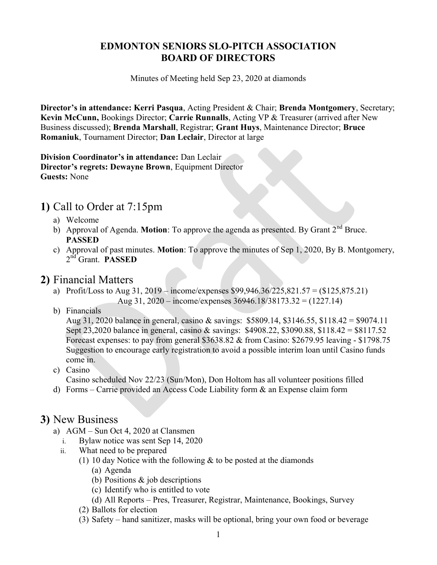#### EDMONTON SENIORS SLO-PITCH ASSOCIATION BOARD OF DIRECTORS

Minutes of Meeting held Sep 23, 2020 at diamonds

Director's in attendance: Kerri Pasqua, Acting President & Chair; Brenda Montgomery, Secretary; Kevin McCunn, Bookings Director; Carrie Runnalls, Acting VP & Treasurer (arrived after New Business discussed); Brenda Marshall, Registrar; Grant Huys, Maintenance Director; Bruce Romaniuk, Tournament Director; Dan Leclair, Director at large

Division Coordinator's in attendance: Dan Leclair Director's regrets: Dewayne Brown, Equipment Director Guests: None

## 1) Call to Order at 7:15pm

- a) Welcome
- b) Approval of Agenda. **Motion**: To approve the agenda as presented. By Grant  $2^{nd}$  Bruce. PASSED
- c) Approval of past minutes. Motion: To approve the minutes of Sep 1, 2020, By B. Montgomery, 2<sup>nd</sup> Grant. **PASSED**

#### 2) Financial Matters

- a) Profit/Loss to Aug 31, 2019 income/expenses \$99,946.36/225,821.57 = (\$125,875.21) Aug 31, 2020 – income/expenses 36946.18/38173.32 = (1227.14)
- b) Financials

Aug 31, 2020 balance in general, casino & savings: \$5809.14, \$3146.55, \$118.42 = \$9074.11 Sept 23,2020 balance in general, casino & savings: \$4908.22, \$3090.88, \$118.42 = \$8117.52 Forecast expenses: to pay from general \$3638.82 & from Casino: \$2679.95 leaving - \$1798.75 Suggestion to encourage early registration to avoid a possible interim loan until Casino funds come in.

- c) Casino Casino scheduled Nov 22/23 (Sun/Mon), Don Holtom has all volunteer positions filled
- d) Forms Carrie provided an Access Code Liability form & an Expense claim form

#### 3) New Business

- a) AGM Sun Oct 4, 2020 at Clansmen
	- i. Bylaw notice was sent Sep 14, 2020
	- ii. What need to be prepared
		- (1) 10 day Notice with the following  $\&$  to be posted at the diamonds
			- (a) Agenda
			- (b) Positions & job descriptions
			- (c) Identify who is entitled to vote
			- (d) All Reports Pres, Treasurer, Registrar, Maintenance, Bookings, Survey
		- (2) Ballots for election
		- (3) Safety hand sanitizer, masks will be optional, bring your own food or beverage